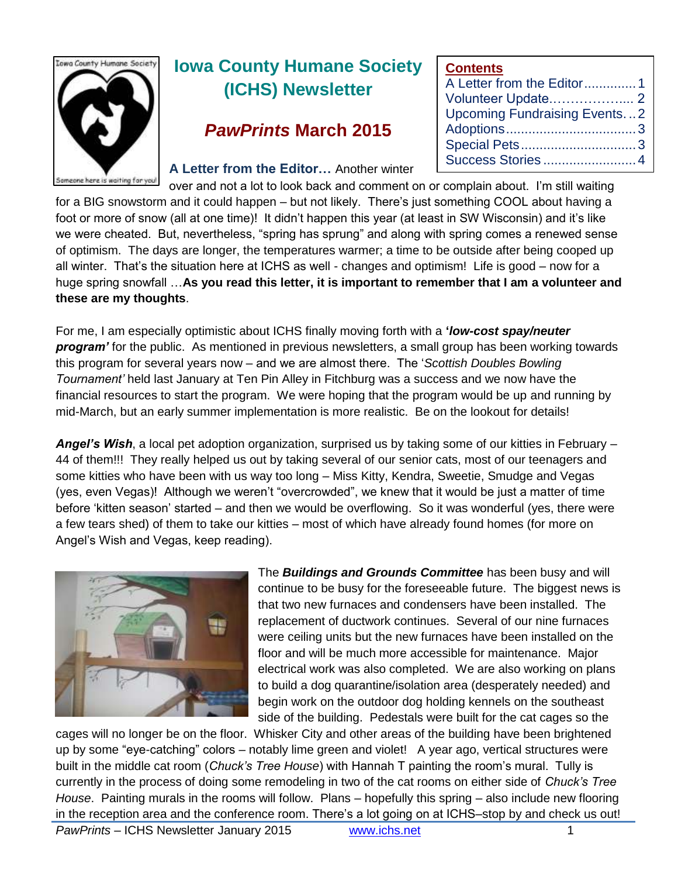

# **Iowa County Humane Society (ICHS) Newsletter**

# *PawPrints* **March 2015**

#### **A Letter from the Editor…** Another winter

| <b>Contents</b>                     |  |
|-------------------------------------|--|
| A Letter from the Editor1           |  |
|                                     |  |
| <b>Upcoming Fundraising Events2</b> |  |
|                                     |  |
|                                     |  |
| Success Stories4                    |  |

over and not a lot to look back and comment on or complain about. I'm still waiting for a BIG snowstorm and it could happen – but not likely. There's just something COOL about having a foot or more of snow (all at one time)! It didn't happen this year (at least in SW Wisconsin) and it's like we were cheated. But, nevertheless, "spring has sprung" and along with spring comes a renewed sense of optimism. The days are longer, the temperatures warmer; a time to be outside after being cooped up all winter. That's the situation here at ICHS as well - changes and optimism! Life is good – now for a huge spring snowfall …**As you read this letter, it is important to remember that I am a volunteer and these are my thoughts**.

For me, I am especially optimistic about ICHS finally moving forth with a **'***low-cost spay/neuter program'* for the public. As mentioned in previous newsletters, a small group has been working towards this program for several years now – and we are almost there. The '*Scottish Doubles Bowling Tournament'* held last January at Ten Pin Alley in Fitchburg was a success and we now have the financial resources to start the program. We were hoping that the program would be up and running by mid-March, but an early summer implementation is more realistic. Be on the lookout for details!

*Angel's Wish*, a local pet adoption organization, surprised us by taking some of our kitties in February – 44 of them!!! They really helped us out by taking several of our senior cats, most of our teenagers and some kitties who have been with us way too long – Miss Kitty, Kendra, Sweetie, Smudge and Vegas (yes, even Vegas)! Although we weren't "overcrowded", we knew that it would be just a matter of time before 'kitten season' started – and then we would be overflowing. So it was wonderful (yes, there were a few tears shed) of them to take our kitties – most of which have already found homes (for more on Angel's Wish and Vegas, keep reading).



The *Buildings and Grounds Committee* has been busy and will continue to be busy for the foreseeable future. The biggest news is that two new furnaces and condensers have been installed. The replacement of ductwork continues. Several of our nine furnaces were ceiling units but the new furnaces have been installed on the floor and will be much more accessible for maintenance. Major electrical work was also completed. We are also working on plans to build a dog quarantine/isolation area (desperately needed) and begin work on the outdoor dog holding kennels on the southeast side of the building. Pedestals were built for the cat cages so the

cages will no longer be on the floor. Whisker City and other areas of the building have been brightened up by some "eye-catching" colors – notably lime green and violet! A year ago, vertical structures were built in the middle cat room (*Chuck's Tree House*) with Hannah T painting the room's mural. Tully is currently in the process of doing some remodeling in two of the cat rooms on either side of *Chuck's Tree House*. Painting murals in the rooms will follow. Plans – hopefully this spring – also include new flooring in the reception area and the conference room. There's a lot going on at ICHS–stop by and check us out!

*PawPrints* – ICHS Newsletter January 2015 [www.ichs.net](http://www.ichs.net/) 1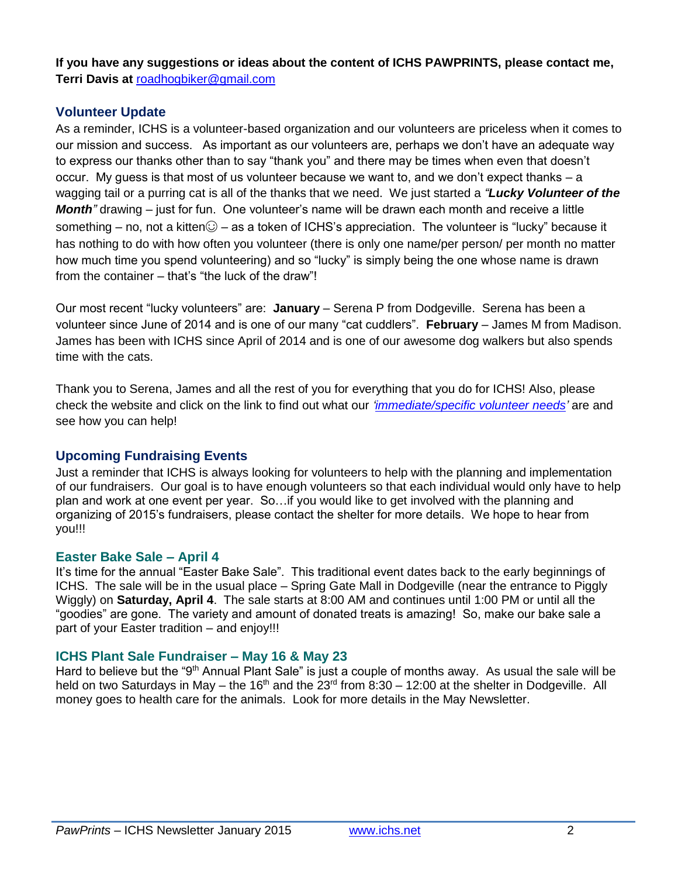**If you have any suggestions or ideas about the content of ICHS PAWPRINTS, please contact me, Terri Davis at** [roadhogbiker@gmail.com](mailto:roadhogbiker@gmail.com)

### **Volunteer Update**

As a reminder, ICHS is a volunteer-based organization and our volunteers are priceless when it comes to our mission and success. As important as our volunteers are, perhaps we don't have an adequate way to express our thanks other than to say "thank you" and there may be times when even that doesn't occur. My guess is that most of us volunteer because we want to, and we don't expect thanks – a wagging tail or a purring cat is all of the thanks that we need. We just started a *"Lucky Volunteer of the Month"* drawing – just for fun. One volunteer's name will be drawn each month and receive a little something – no, not a kitten $\odot$  – as a token of ICHS's appreciation. The volunteer is "lucky" because it has nothing to do with how often you volunteer (there is only one name/per person/ per month no matter how much time you spend volunteering) and so "lucky" is simply being the one whose name is drawn from the container – that's "the luck of the draw"!

Our most recent "lucky volunteers" are: **January** – Serena P from Dodgeville. Serena has been a volunteer since June of 2014 and is one of our many "cat cuddlers". **February** – James M from Madison. James has been with ICHS since April of 2014 and is one of our awesome dog walkers but also spends time with the cats.

Thank you to Serena, James and all the rest of you for everything that you do for ICHS! Also, please check the website and click on the link to find out what our *['immediate/specific volunteer needs'](http://www.ichs.net/volunteer-help/volunteer/)* are and see how you can help!

### **Upcoming Fundraising Events**

Just a reminder that ICHS is always looking for volunteers to help with the planning and implementation of our fundraisers. Our goal is to have enough volunteers so that each individual would only have to help plan and work at one event per year. So…if you would like to get involved with the planning and organizing of 2015's fundraisers, please contact the shelter for more details. We hope to hear from you!!!

#### **Easter Bake Sale – April 4**

It's time for the annual "Easter Bake Sale". This traditional event dates back to the early beginnings of ICHS. The sale will be in the usual place – Spring Gate Mall in Dodgeville (near the entrance to Piggly Wiggly) on **Saturday, April 4**. The sale starts at 8:00 AM and continues until 1:00 PM or until all the "goodies" are gone. The variety and amount of donated treats is amazing! So, make our bake sale a part of your Easter tradition – and enjoy!!!

#### **ICHS Plant Sale Fundraiser – May 16 & May 23**

Hard to believe but the "9<sup>th</sup> Annual Plant Sale" is just a couple of months away. As usual the sale will be held on two Saturdays in May – the 16<sup>th</sup> and the  $23<sup>rd</sup>$  from 8:30 – 12:00 at the shelter in Dodgeville. All money goes to health care for the animals. Look for more details in the May Newsletter.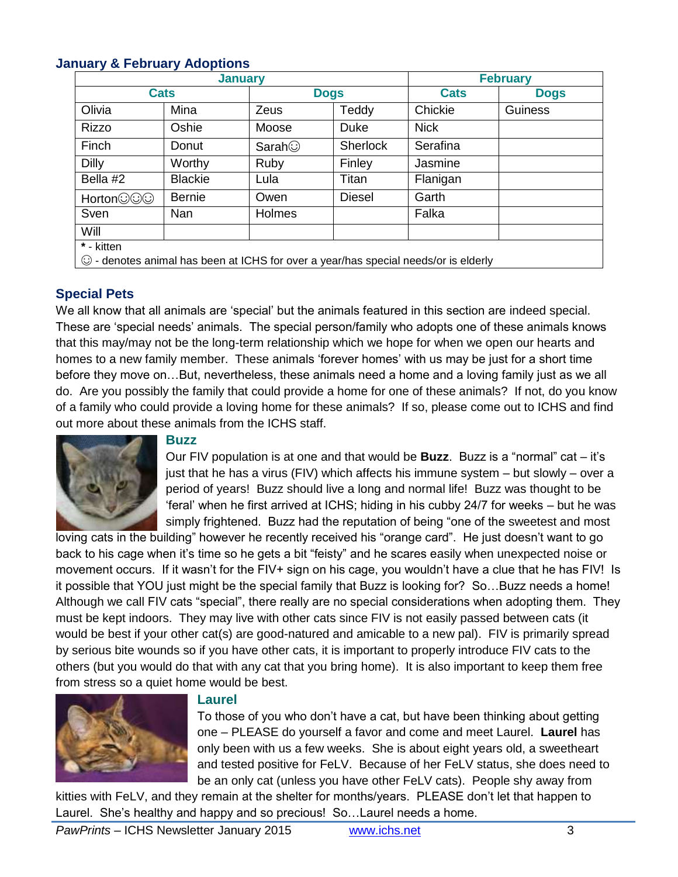### **January & February Adoptions**

| <b>January</b>                                                                      |                |               |                 | <b>February</b> |             |  |  |
|-------------------------------------------------------------------------------------|----------------|---------------|-----------------|-----------------|-------------|--|--|
| <b>Cats</b>                                                                         |                | <b>Dogs</b>   |                 | <b>Cats</b>     | <b>Dogs</b> |  |  |
| Olivia                                                                              | Mina           | Zeus          | Teddy           | Chickie         | Guiness     |  |  |
| <b>Rizzo</b>                                                                        | Oshie          | Moose         | Duke            | <b>Nick</b>     |             |  |  |
| Finch                                                                               | Donut          | Sarah $\odot$ | <b>Sherlock</b> | Serafina        |             |  |  |
| Dilly                                                                               | Worthy         | Ruby          | Finley          | Jasmine         |             |  |  |
| Bella #2                                                                            | <b>Blackie</b> | Lula          | Titan           | Flanigan        |             |  |  |
| Horton©©⊙                                                                           | <b>Bernie</b>  | Owen          | Diesel          | Garth           |             |  |  |
| Sven                                                                                | Nan            | Holmes        |                 | Falka           |             |  |  |
| Will                                                                                |                |               |                 |                 |             |  |  |
| * - kitten                                                                          |                |               |                 |                 |             |  |  |
| © - denotes animal has been at ICHS for over a year/has special needs/or is elderly |                |               |                 |                 |             |  |  |

#### **Special Pets**

We all know that all animals are 'special' but the animals featured in this section are indeed special. These are 'special needs' animals. The special person/family who adopts one of these animals knows that this may/may not be the long-term relationship which we hope for when we open our hearts and homes to a new family member. These animals 'forever homes' with us may be just for a short time before they move on…But, nevertheless, these animals need a home and a loving family just as we all do. Are you possibly the family that could provide a home for one of these animals? If not, do you know of a family who could provide a loving home for these animals? If so, please come out to ICHS and find out more about these animals from the ICHS staff.



#### **Buzz**

Our FIV population is at one and that would be **Buzz**. Buzz is a "normal" cat – it's just that he has a virus (FIV) which affects his immune system – but slowly – over a period of years! Buzz should live a long and normal life! Buzz was thought to be 'feral' when he first arrived at ICHS; hiding in his cubby 24/7 for weeks – but he was simply frightened. Buzz had the reputation of being "one of the sweetest and most

loving cats in the building" however he recently received his "orange card". He just doesn't want to go back to his cage when it's time so he gets a bit "feisty" and he scares easily when unexpected noise or movement occurs. If it wasn't for the FIV+ sign on his cage, you wouldn't have a clue that he has FIV! Is it possible that YOU just might be the special family that Buzz is looking for? So…Buzz needs a home! Although we call FIV cats "special", there really are no special considerations when adopting them. They must be kept indoors. They may live with other cats since FIV is not easily passed between cats (it would be best if your other cat(s) are good-natured and amicable to a new pal). FIV is primarily spread by serious bite wounds so if you have other cats, it is important to properly introduce FIV cats to the others (but you would do that with any cat that you bring home). It is also important to keep them free from stress so a quiet home would be best.



#### **Laurel**

To those of you who don't have a cat, but have been thinking about getting one – PLEASE do yourself a favor and come and meet Laurel. **Laurel** has only been with us a few weeks. She is about eight years old, a sweetheart and tested positive for FeLV. Because of her FeLV status, she does need to be an only cat (unless you have other FeLV cats). People shy away from

kitties with FeLV, and they remain at the shelter for months/years. PLEASE don't let that happen to Laurel. She's healthy and happy and so precious! So…Laurel needs a home.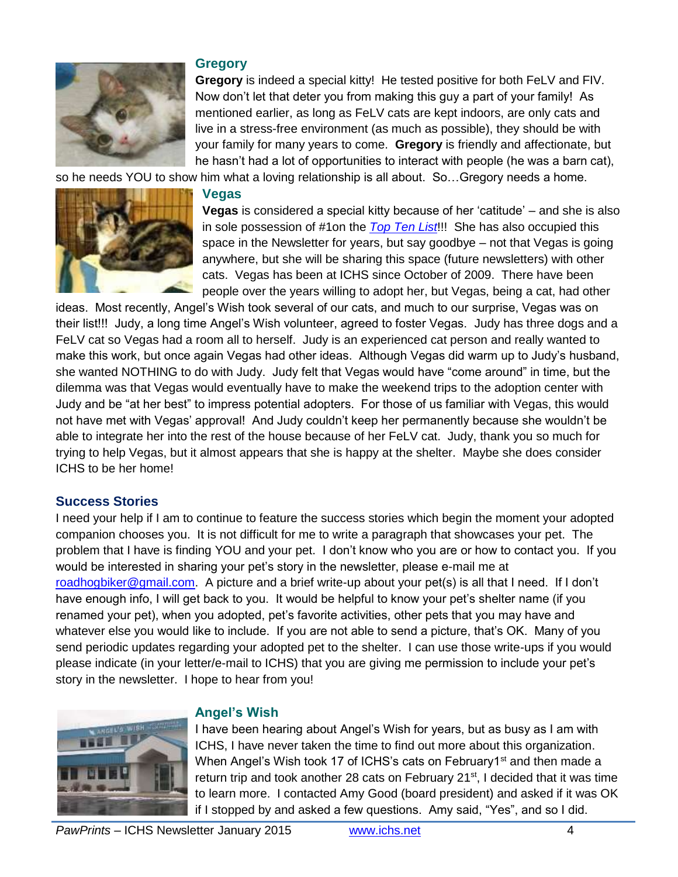

#### **Gregory**

**Gregory** is indeed a special kitty! He tested positive for both FeLV and FIV. Now don't let that deter you from making this guy a part of your family! As mentioned earlier, as long as FeLV cats are kept indoors, are only cats and live in a stress-free environment (as much as possible), they should be with your family for many years to come. **Gregory** is friendly and affectionate, but he hasn't had a lot of opportunities to interact with people (he was a barn cat),

so he needs YOU to show him what a loving relationship is all about. So…Gregory needs a home.

## **Vegas**



**Vegas** is considered a special kitty because of her 'catitude' – and she is also in sole possession of #1on the *[Top Ten](http://www.ichs.net/index.php/download_file/view/748/149/) List*!!! She has also occupied this space in the Newsletter for years, but say goodbye – not that Vegas is going anywhere, but she will be sharing this space (future newsletters) with other cats. Vegas has been at ICHS since October of 2009. There have been people over the years willing to adopt her, but Vegas, being a cat, had other

ideas. Most recently, Angel's Wish took several of our cats, and much to our surprise, Vegas was on their list!!! Judy, a long time Angel's Wish volunteer, agreed to foster Vegas. Judy has three dogs and a FeLV cat so Vegas had a room all to herself. Judy is an experienced cat person and really wanted to make this work, but once again Vegas had other ideas. Although Vegas did warm up to Judy's husband, she wanted NOTHING to do with Judy. Judy felt that Vegas would have "come around" in time, but the dilemma was that Vegas would eventually have to make the weekend trips to the adoption center with Judy and be "at her best" to impress potential adopters. For those of us familiar with Vegas, this would not have met with Vegas' approval! And Judy couldn't keep her permanently because she wouldn't be able to integrate her into the rest of the house because of her FeLV cat. Judy, thank you so much for trying to help Vegas, but it almost appears that she is happy at the shelter. Maybe she does consider ICHS to be her home!

#### **Success Stories**

I need your help if I am to continue to feature the success stories which begin the moment your adopted companion chooses you. It is not difficult for me to write a paragraph that showcases your pet. The problem that I have is finding YOU and your pet. I don't know who you are or how to contact you. If you would be interested in sharing your pet's story in the newsletter, please e-mail me at [roadhogbiker@gmail.com.](mailto:roadhogbiker@gmail.com) A picture and a brief write-up about your pet(s) is all that I need. If I don't have enough info, I will get back to you. It would be helpful to know your pet's shelter name (if you renamed your pet), when you adopted, pet's favorite activities, other pets that you may have and whatever else you would like to include. If you are not able to send a picture, that's OK. Many of you send periodic updates regarding your adopted pet to the shelter. I can use those write-ups if you would please indicate (in your letter/e-mail to ICHS) that you are giving me permission to include your pet's story in the newsletter. I hope to hear from you!



#### **Angel's Wish**

I have been hearing about Angel's Wish for years, but as busy as I am with ICHS, I have never taken the time to find out more about this organization. When Angel's Wish took 17 of ICHS's cats on February1<sup>st</sup> and then made a return trip and took another 28 cats on February  $21^{st}$ , I decided that it was time to learn more. I contacted Amy Good (board president) and asked if it was OK if I stopped by and asked a few questions. Amy said, "Yes", and so I did.